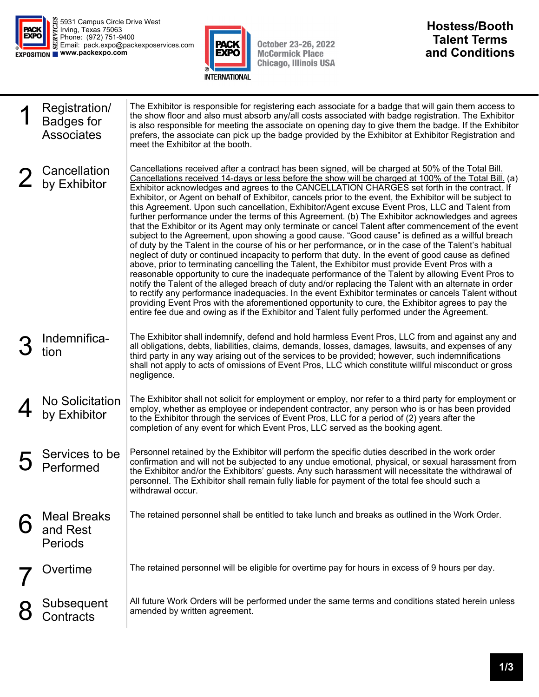

5931 Campus Circle Drive West Irving, Texas 75063 Phone: (972) 751-9400 Email: pack.expo@packexposervices.com **www.packexpo.com** 



October 23-26, 2022<br>McCormick Place<br>Chicago, Illinois USA

## **Hostess/Booth Talent Terms and Conditions**

| Registration/<br><b>Badges for</b><br><b>Associates</b> | The Exhibitor is responsible for registering each associate for a badge that will gain them access to<br>the show floor and also must absorb any/all costs associated with badge registration. The Exhibitor<br>is also responsible for meeting the associate on opening day to give them the badge. If the Exhibitor<br>prefers, the associate can pick up the badge provided by the Exhibitor at Exhibitor Registration and<br>meet the Exhibitor at the booth.                                                                                                                                                                                                                                                                                                                                                                                                                                                                                                                                                                                                                                                                                                                                                                                                                                                                                                                                                                                                                                                                                                                                                                                                                       |
|---------------------------------------------------------|-----------------------------------------------------------------------------------------------------------------------------------------------------------------------------------------------------------------------------------------------------------------------------------------------------------------------------------------------------------------------------------------------------------------------------------------------------------------------------------------------------------------------------------------------------------------------------------------------------------------------------------------------------------------------------------------------------------------------------------------------------------------------------------------------------------------------------------------------------------------------------------------------------------------------------------------------------------------------------------------------------------------------------------------------------------------------------------------------------------------------------------------------------------------------------------------------------------------------------------------------------------------------------------------------------------------------------------------------------------------------------------------------------------------------------------------------------------------------------------------------------------------------------------------------------------------------------------------------------------------------------------------------------------------------------------------|
| Cancellation<br>by Exhibitor                            | Cancellations received after a contract has been signed, will be charged at 50% of the Total Bill.<br>Cancellations received 14-days or less before the show will be charged at 100% of the Total Bill. (a)<br>Exhibitor acknowledges and agrees to the CANCELLATION CHARGES set forth in the contract. If<br>Exhibitor, or Agent on behalf of Exhibitor, cancels prior to the event, the Exhibitor will be subject to<br>this Agreement. Upon such cancellation, Exhibitor/Agent excuse Event Pros, LLC and Talent from<br>further performance under the terms of this Agreement. (b) The Exhibitor acknowledges and agrees<br>that the Exhibitor or its Agent may only terminate or cancel Talent after commencement of the event<br>subject to the Agreement, upon showing a good cause. "Good cause" is defined as a willful breach<br>of duty by the Talent in the course of his or her performance, or in the case of the Talent's habitual<br>neglect of duty or continued incapacity to perform that duty. In the event of good cause as defined<br>above, prior to terminating cancelling the Talent, the Exhibitor must provide Event Pros with a<br>reasonable opportunity to cure the inadequate performance of the Talent by allowing Event Pros to<br>notify the Talent of the alleged breach of duty and/or replacing the Talent with an alternate in order<br>to rectify any performance inadequacies. In the event Exhibitor terminates or cancels Talent without<br>providing Event Pros with the aforementioned opportunity to cure, the Exhibitor agrees to pay the<br>entire fee due and owing as if the Exhibitor and Talent fully performed under the Agreement. |
| Indemnifica-<br>tion                                    | The Exhibitor shall indemnify, defend and hold harmless Event Pros, LLC from and against any and<br>all obligations, debts, liabilities, claims, demands, losses, damages, lawsuits, and expenses of any<br>third party in any way arising out of the services to be provided; however, such indemnifications<br>shall not apply to acts of omissions of Event Pros, LLC which constitute willful misconduct or gross<br>negligence.                                                                                                                                                                                                                                                                                                                                                                                                                                                                                                                                                                                                                                                                                                                                                                                                                                                                                                                                                                                                                                                                                                                                                                                                                                                    |
| <b>No Solicitation</b><br>by Exhibitor                  | The Exhibitor shall not solicit for employment or employ, nor refer to a third party for employment or<br>employ, whether as employee or independent contractor, any person who is or has been provided<br>to the Exhibitor through the services of Event Pros, LLC for a period of (2) years after the<br>completion of any event for which Event Pros, LLC served as the booking agent.                                                                                                                                                                                                                                                                                                                                                                                                                                                                                                                                                                                                                                                                                                                                                                                                                                                                                                                                                                                                                                                                                                                                                                                                                                                                                               |
| Services to be<br>Performed                             | Personnel retained by the Exhibitor will perform the specific duties described in the work order<br>confirmation and will not be subjected to any undue emotional, physical, or sexual harassment from<br>the Exhibitor and/or the Exhibitors' guests. Any such harassment will necessitate the withdrawal of<br>personnel. The Exhibitor shall remain fully liable for payment of the total fee should such a<br>withdrawal occur.                                                                                                                                                                                                                                                                                                                                                                                                                                                                                                                                                                                                                                                                                                                                                                                                                                                                                                                                                                                                                                                                                                                                                                                                                                                     |
| <b>Meal Breaks</b><br>and Rest<br><b>Periods</b>        | The retained personnel shall be entitled to take lunch and breaks as outlined in the Work Order.                                                                                                                                                                                                                                                                                                                                                                                                                                                                                                                                                                                                                                                                                                                                                                                                                                                                                                                                                                                                                                                                                                                                                                                                                                                                                                                                                                                                                                                                                                                                                                                        |
| Overtime                                                | The retained personnel will be eligible for overtime pay for hours in excess of 9 hours per day.                                                                                                                                                                                                                                                                                                                                                                                                                                                                                                                                                                                                                                                                                                                                                                                                                                                                                                                                                                                                                                                                                                                                                                                                                                                                                                                                                                                                                                                                                                                                                                                        |
| Subsequent<br>Contracts                                 | All future Work Orders will be performed under the same terms and conditions stated herein unless<br>amended by written agreement.                                                                                                                                                                                                                                                                                                                                                                                                                                                                                                                                                                                                                                                                                                                                                                                                                                                                                                                                                                                                                                                                                                                                                                                                                                                                                                                                                                                                                                                                                                                                                      |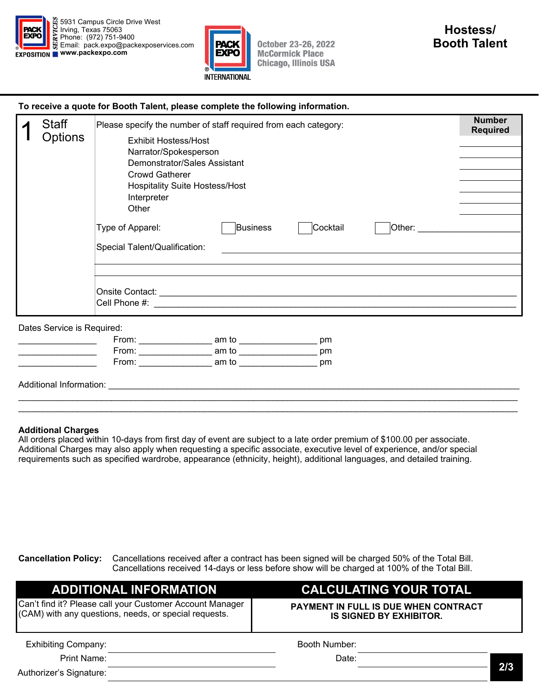



**October 23-26, 2022 McCormick Place Chicago, Illinois USA** 

| To receive a quote for Booth Talent, please complete the following information. |  |
|---------------------------------------------------------------------------------|--|
|                                                                                 |  |

| <b>Staff</b>               | Please specify the number of staff required from each category:                                                                                                                                                                                                  | <b>Number</b><br><b>Required</b> |  |  |  |
|----------------------------|------------------------------------------------------------------------------------------------------------------------------------------------------------------------------------------------------------------------------------------------------------------|----------------------------------|--|--|--|
| <b>Options</b>             | <b>Exhibit Hostess/Host</b><br>Narrator/Spokesperson<br>Demonstrator/Sales Assistant<br><b>Crowd Gatherer</b><br><b>Hospitality Suite Hostess/Host</b><br>Interpreter                                                                                            |                                  |  |  |  |
|                            | Other                                                                                                                                                                                                                                                            |                                  |  |  |  |
|                            | <b>Business</b><br>Cocktail<br>Type of Apparel:<br>Other:                                                                                                                                                                                                        |                                  |  |  |  |
|                            | Special Talent/Qualification:                                                                                                                                                                                                                                    |                                  |  |  |  |
|                            |                                                                                                                                                                                                                                                                  |                                  |  |  |  |
|                            |                                                                                                                                                                                                                                                                  |                                  |  |  |  |
| Dates Service is Required: |                                                                                                                                                                                                                                                                  |                                  |  |  |  |
|                            | From: _______________________ am to ___________________<br>pm                                                                                                                                                                                                    |                                  |  |  |  |
|                            | From: _______________________ am to ___________________<br>pm                                                                                                                                                                                                    |                                  |  |  |  |
|                            | From: New York Promotion of the Second Second Second Second Second Second Second Second Second Second Second Second Second Second Second Second Second Second Second Second Second Second Second Second Second Second Second S<br>am to __________________<br>pm |                                  |  |  |  |

Additional Information: \_\_\_\_\_\_\_\_\_\_\_\_\_\_\_\_\_\_\_\_\_\_\_\_\_\_\_\_\_\_\_\_\_\_\_\_\_\_\_\_\_\_\_\_\_\_\_\_\_\_\_\_\_\_\_\_\_\_\_\_\_\_\_\_\_\_\_\_\_\_\_\_\_\_\_\_\_\_\_\_\_\_\_\_

## **Additional Charges**

All orders placed within 10-days from first day of event are subject to a late order premium of \$100.00 per associate. Additional Charges may also apply when requesting a specific associate, executive level of experience, and/or special requirements such as specified wardrobe, appearance (ethnicity, height), additional languages, and detailed training.

\_\_\_\_\_\_\_\_\_\_\_\_\_\_\_\_\_\_\_\_\_\_\_\_\_\_\_\_\_\_\_\_\_\_\_\_\_\_\_\_\_\_\_\_\_\_\_\_\_\_\_\_\_\_\_\_\_\_\_\_\_\_\_\_\_\_\_\_\_\_\_\_\_\_\_\_\_\_\_\_\_\_\_\_\_\_\_\_\_\_\_\_\_\_\_\_\_\_\_\_\_\_

**Cancellation Policy:** Cancellations received after a contract has been signed will be charged 50% of the Total Bill. Cancellations received 14-days or less before show will be charged at 100% of the Total Bill.

| <b>ADDITIONAL INFORMATION</b>                                                                                     | <b>CALCULATING YOUR TOTAL</b><br><b>PAYMENT IN FULL IS DUE WHEN CONTRACT</b><br><b>IS SIGNED BY EXHIBITOR.</b> |     |
|-------------------------------------------------------------------------------------------------------------------|----------------------------------------------------------------------------------------------------------------|-----|
| Can't find it? Please call your Customer Account Manager<br>(CAM) with any questions, needs, or special requests. |                                                                                                                |     |
| <b>Exhibiting Company:</b>                                                                                        | Booth Number:                                                                                                  |     |
| Print Name:                                                                                                       | Date:                                                                                                          |     |
| Authorizer's Signature:                                                                                           |                                                                                                                | 2/3 |